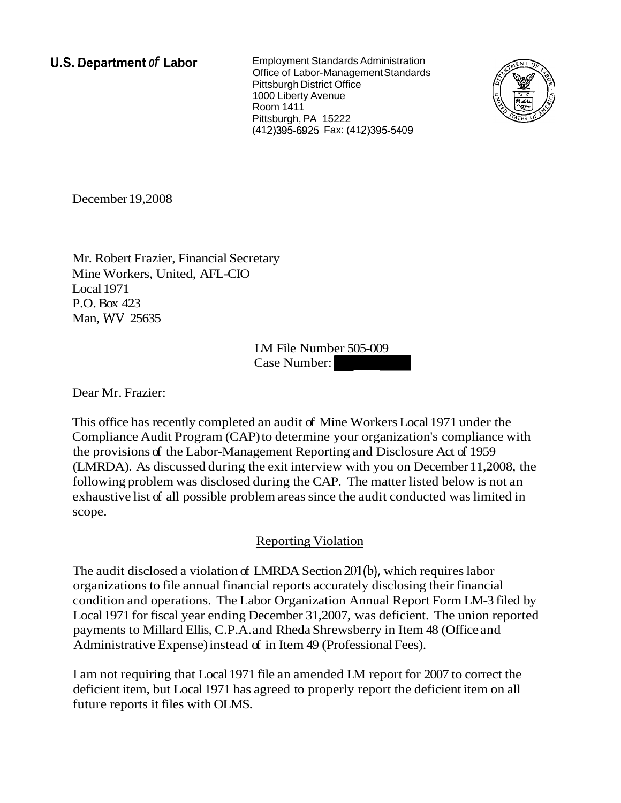**U.S. Department of Labor Employment Standards Administration** Office of Labor-Management Standards Pittsburgh District Office 1000 Liberty Avenue Room 1411 Pittsburgh, PA 15222 (412) 395-6925 Fax: (412) 395-5409



December 19,2008

Mr. Robert Frazier, Financial Secretary Mine Workers, United, AFL-CIO Local 1971 P.O. Box 423 Man, WV 25635

> LM File Number 505-009 Case Number:

Dear Mr. Frazier:

This office has recently completed an audit of Mine Workers Local 1971 under the Compliance Audit Program (CAP) to determine your organization's compliance with the provisions of the Labor-Management Reporting and Disclosure Act of 1959 (LMRDA). As discussed during the exit interview with you on December 11,2008, the following problem was disclosed during the CAP. The matter listed below is not an exhaustive list of all possible problem areas since the audit conducted was limited in scope.

# Reporting Violation

The audit disclosed a violation of LMRDA Section 201(b), which requires labor organizations to file annual financial reports accurately disclosing their financial condition and operations. The Labor Organization Annual Report Form LM-3 filed by Local 1971 for fiscal year ending December 31,2007, was deficient. The union reported payments to Millard Ellis, C.P.A. and Rheda Shrewsberry in Item 48 (Office and Administrative Expense) instead of in Item 49 (Professional Fees).

I am not requiring that Local 1971 file an amended LM report for 2007 to correct the deficient item, but Local 1971 has agreed to properly report the deficient item on all future reports it files with OLMS.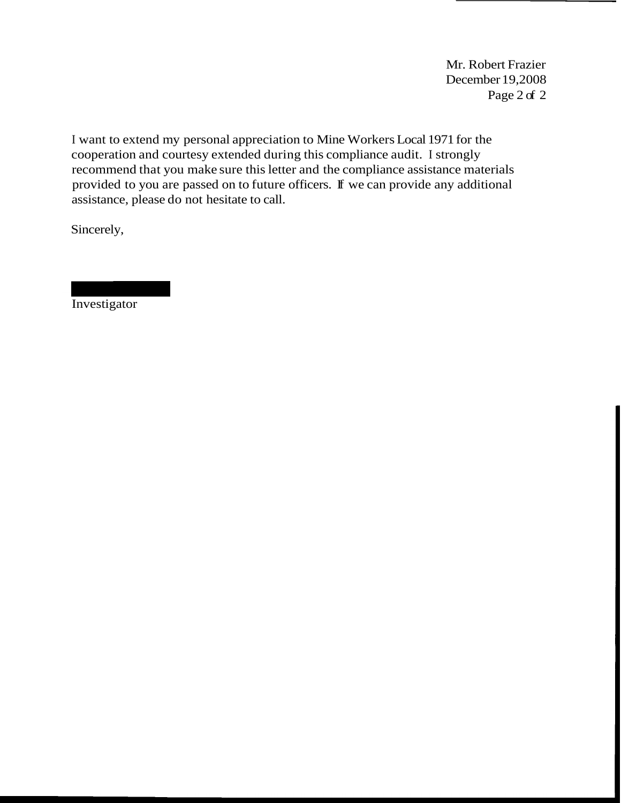Mr. Robert Frazier December 19,2008 Page 2 of 2

I want to extend my personal appreciation to Mine Workers Local 1971 for the cooperation and courtesy extended during this compliance audit. I strongly recommend that you make sure this letter and the compliance assistance materials provided to you are passed on to future officers. If we can provide any additional assistance, please do not hesitate to call.

Sincerely,

**Investigator**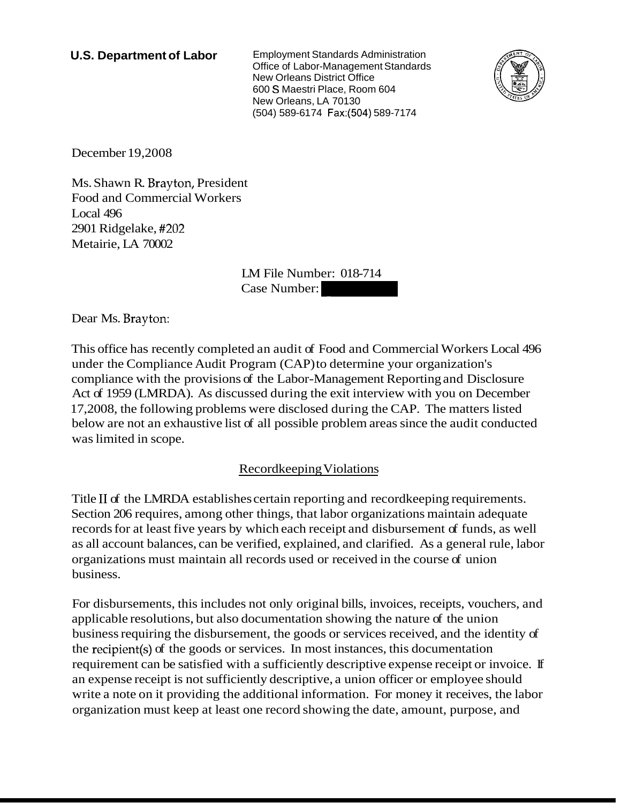**U.S. Department of Labor** Employment Standards Administration Office of Labor-Management Standards New Orleans District Office 600 S Maestri Place, Room 604 New Orleans, LA 70130 (504) 589-6174 Fax:(504) 589-7174 New Orleans District Office<br>
Rew Orleans District Office<br>
600 S Maestri Place, Room 604<br>
New Orleans, LA 70130<br>
(504) 589-6174 Fax:(504) 589-7174<br>
11<br>
11<br>
IM File Number: 018-714<br>
Case Number:



December 19,2008

Ms. Shawn R. Brayton, President Food and Commercial Workers Local 496 2901 Ridgelake, #202 Metairie, LA 70002

LM File Number: 018-714

Dear Ms. Brayton:

This office has recently completed an audit of Food and Commercial Workers Local 496 under the Compliance Audit Program (CAP) to determine your organization's compliance with the provisions of the Labor-Management Reporting and Disclosure Act of 1959 (LMRDA). As discussed during the exit interview with you on December 17,2008, the following problems were disclosed during the CAP. The matters listed below are not an exhaustive list of all possible problem areas since the audit conducted was limited in scope.

# Recordkeeping Violations

Title I1 of the LMRDA establishes certain reporting and recordkeeping requirements. Section 206 requires, among other things, that labor organizations maintain adequate records for at least five years by which each receipt and disbursement of funds, as well as all account balances, can be verified, explained, and clarified. As a general rule, labor organizations must maintain all records used or received in the course of union business.

For disbursements, this includes not only original bills, invoices, receipts, vouchers, and applicable resolutions, but also documentation showing the nature of the union business requiring the disbursement, the goods or services received, and the identity of the recipient(s) of the goods or services. In most instances, this documentation requirement can be satisfied with a sufficiently descriptive expense receipt or invoice. If an expense receipt is not sufficiently descriptive, a union officer or employee should write a note on it providing the additional information. For money it receives, the labor organization must keep at least one record showing the date, amount, purpose, and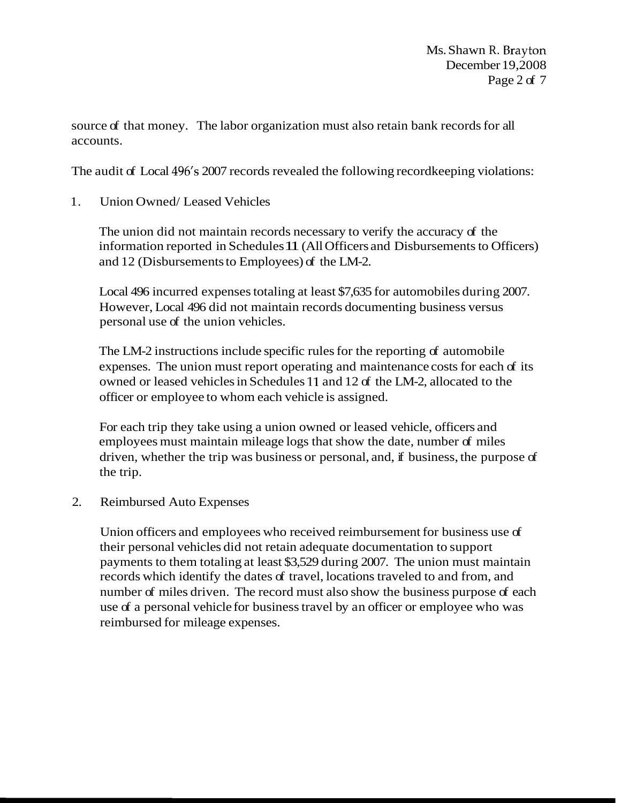source of that money. The labor organization must also retain bank records for all accounts.

The audit of Local 496's 2007 records revealed the following recordkeeping violations:

1. Union Owned/ Leased Vehicles

The union did not maintain records necessary to verify the accuracy of the information reported in Schedules 11 (All Officers and Disbursements to Officers) and 12 (Disbursements to Employees) of the LM-2.

Local 496 incurred expenses totaling at least \$7,635 for automobiles during 2007. However, Local 496 did not maintain records documenting business versus personal use of the union vehicles.

The LM-2 instructions include specific rules for the reporting of automobile expenses. The union must report operating and maintenance costs for each of its owned or leased vehicles in Schedules 11 and 12 of the LM-2, allocated to the officer or employee to whom each vehicle is assigned.

For each trip they take using a union owned or leased vehicle, officers and employees must maintain mileage logs that show the date, number of miles driven, whether the trip was business or personal, and, if business, the purpose of the trip.

2. Reimbursed Auto Expenses

Union officers and employees who received reimbursement for business use of their personal vehicles did not retain adequate documentation to support payments to them totaling at least \$3,529 during 2007. The union must maintain records which identify the dates of travel, locations traveled to and from, and number of miles driven. The record must also show the business purpose of each use of a personal vehicle for business travel by an officer or employee who was reimbursed for mileage expenses.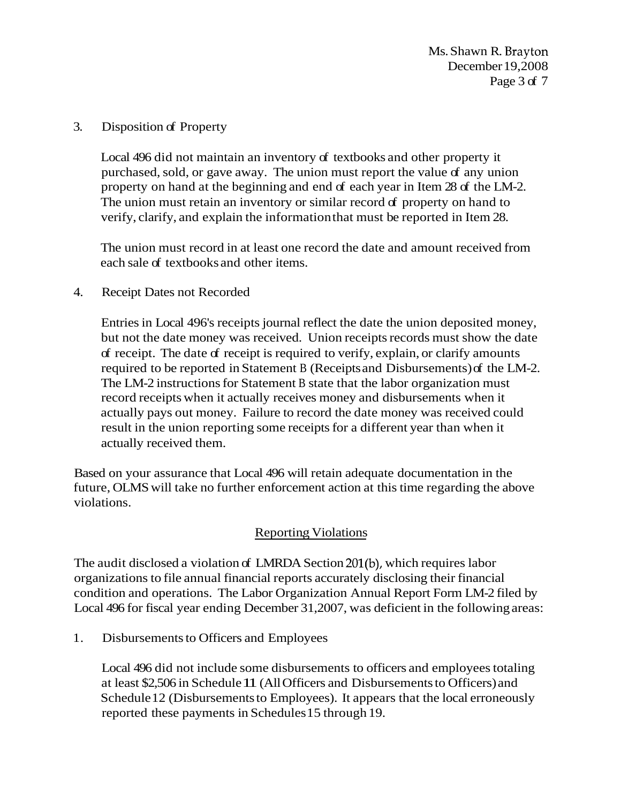Ms. Shawn R. Brayton December 19,2008 Page 3 of 7

#### 3. Disposition of Property

Local 496 did not maintain an inventory of textbooks and other property it purchased, sold, or gave away. The union must report the value of any union property on hand at the beginning and end of each year in Item 28 of the LM-2. The union must retain an inventory or similar record of property on hand to verify, clarify, and explain the information that must be reported in Item 28.

The union must record in at least one record the date and amount received from each sale of textbooks and other items.

#### 4. Receipt Dates not Recorded

Entries in Local 496's receipts journal reflect the date the union deposited money, but not the date money was received. Union receipts records must show the date of receipt. The date of receipt is required to verify, explain, or clarify amounts required to be reported in Statement B (Receipts and Disbursements) of the LM-2. The LM-2 instructions for Statement B state that the labor organization must record receipts when it actually receives money and disbursements when it actually pays out money. Failure to record the date money was received could result in the union reporting some receipts for a different year than when it actually received them.

Based on your assurance that Local 496 will retain adequate documentation in the future, OLMS will take no further enforcement action at this time regarding the above violations.

## Reporting Violations

The audit disclosed a violation of LMRDA Section 201(b), which requires labor organizations to file annual financial reports accurately disclosing their financial condition and operations. The Labor Organization Annual Report Form LM-2 filed by Local 496 for fiscal year ending December 31,2007, was deficient in the following areas:

1. Disbursements to Officers and Employees

Local 496 did not include some disbursements to officers and employees totaling at least \$2,506 in Schedule 11 (All Officers and Disbursements to Officers) and Schedule 12 (Disbursements to Employees). It appears that the local erroneously reported these payments in Schedules 15 through 19.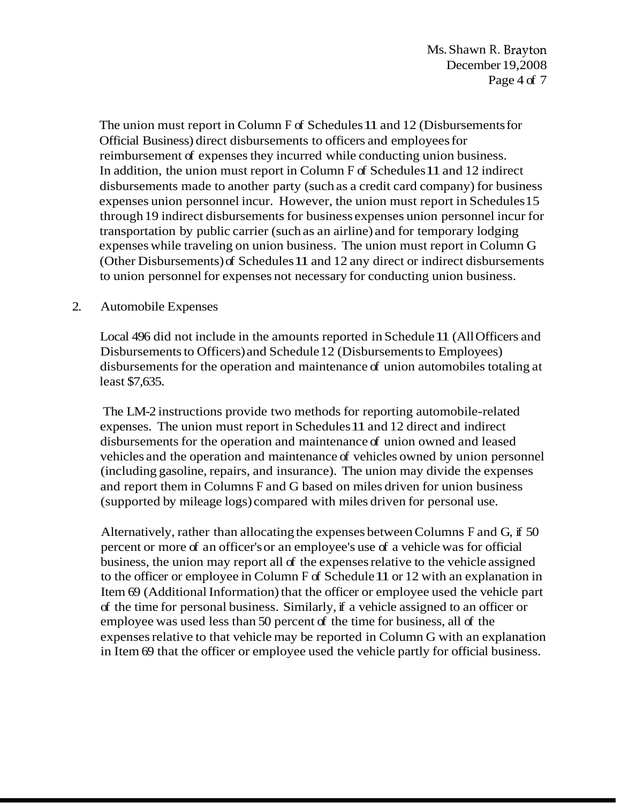The union must report in Column F of Schedules 11 and 12 (Disbursements for Official Business) direct disbursements to officers and employees for reimbursement of expenses they incurred while conducting union business. In addition, the union must report in Column F of Schedules 11 and 12 indirect disbursements made to another party (such as a credit card company) for business expenses union personnel incur. However, the union must report in Schedules 15 through 19 indirect disbursements for business expenses union personnel incur for transportation by public carrier (such as an airline) and for temporary lodging expenses while traveling on union business. The union must report in Column G (Other Disbursements) of Schedules 11 and 12 any direct or indirect disbursements to union personnel for expenses not necessary for conducting union business.

#### 2. Automobile Expenses

Local 496 did not include in the amounts reported in Schedule 11 (All Officers and Disbursements to Officers) and Schedule 12 (Disbursements to Employees) disbursements for the operation and maintenance of union automobiles totaling at least \$7,635.

The LM-2 instructions provide two methods for reporting automobile-related expenses. The union must report in Schedules 11 and 12 direct and indirect disbursements for the operation and maintenance of union owned and leased vehicles and the operation and maintenance of vehicles owned by union personnel (including gasoline, repairs, and insurance). The union may divide the expenses and report them in Columns F and G based on miles driven for union business (supported by mileage logs) compared with miles driven for personal use.

Alternatively, rather than allocating the expenses between Columns F and G, if 50 percent or more of an officer's or an employee's use of a vehicle was for official business, the union may report all of the expenses relative to the vehicle assigned to the officer or employee in Column F of Schedule 11 or 12 with an explanation in Item 69 (Additional Information) that the officer or employee used the vehicle part of the time for personal business. Similarly, if a vehicle assigned to an officer or employee was used less than 50 percent of the time for business, all of the expenses relative to that vehicle may be reported in Column G with an explanation in Item 69 that the officer or employee used the vehicle partly for official business.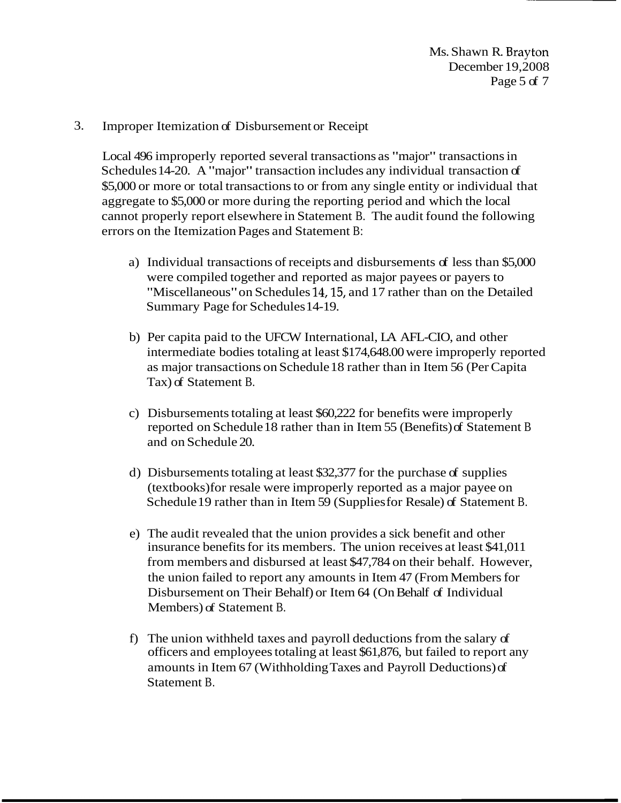# 3. Improper Itemization of Disbursement or Receipt

Local 496 improperly reported several transactions as "major" transactions in Schedules 14-20. A "major" transaction includes any individual transaction of \$5,000 or more or total transactions to or from any single entity or individual that aggregate to \$5,000 or more during the reporting period and which the local cannot properly report elsewhere in Statement B. The audit found the following errors on the Itemization Pages and Statement B:

- a) Individual transactions of receipts and disbursements of less than \$5,000 were compiled together and reported as major payees or payers to "Miscellaneous" on Schedules 14,15, and 17 rather than on the Detailed Summary Page for Schedules 14-19.
- b) Per capita paid to the UFCW International, LA AFL-CIO, and other intermediate bodies totaling at least \$174,648.00 were improperly reported as major transactions on Schedule 18 rather than in Item 56 (Per Capita Tax) of Statement B.
- c) Disbursements totaling at least \$60,222 for benefits were improperly reported on Schedule 18 rather than in Item 55 (Benefits) of Statement B and on Schedule 20.
- d) Disbursements totaling at least \$32,377 for the purchase of supplies (textbooks) for resale were improperly reported as a major payee on Schedule 19 rather than in Item 59 (Supplies for Resale) of Statement B.
- e) The audit revealed that the union provides a sick benefit and other insurance benefits for its members. The union receives at least \$41,011 from members and disbursed at least \$47,784 on their behalf. However, the union failed to report any amounts in Item 47 (From Members for Disbursement on Their Behalf) or Item 64 (On Behalf of Individual Members) of Statement B.
- f) The union withheld taxes and payroll deductions from the salary of officers and employees totaling at least \$61,876, but failed to report any amounts in Item 67 (Withholding Taxes and Payroll Deductions) of Statement B.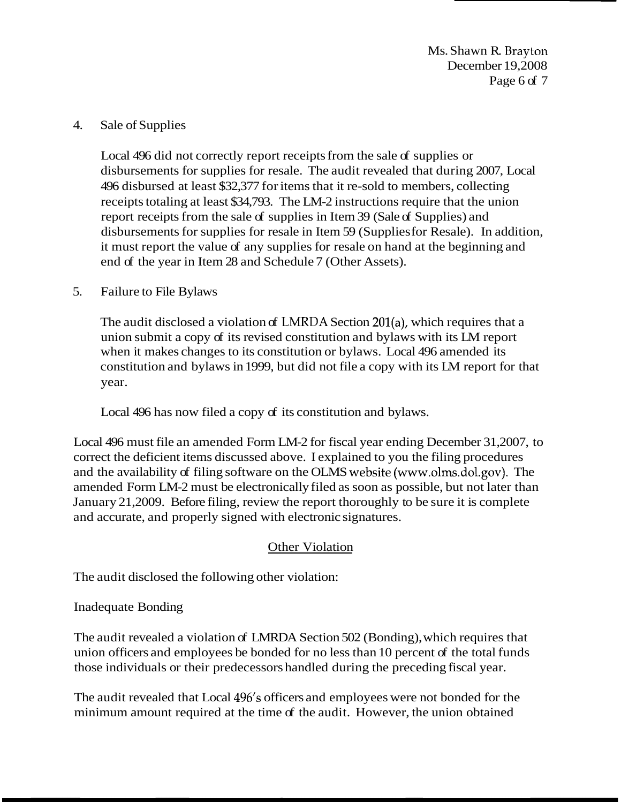Ms. Shawn R. Brayton December 19,2008 Page 6 of 7

#### 4. Sale of Supplies

Local 496 did not correctly report receipts from the sale of supplies or disbursements for supplies for resale. The audit revealed that during 2007, Local 496 disbursed at least \$32,377 for items that it re-sold to members, collecting receipts totaling at least \$34,793. The LM-2 instructions require that the union report receipts from the sale of supplies in Item 39 (Sale of Supplies) and disbursements for supplies for resale in Item 59 (Supplies for Resale). In addition, it must report the value of any supplies for resale on hand at the beginning and end of the year in Item 28 and Schedule 7 (Other Assets).

#### 5. Failure to File Bylaws

The audit disclosed a violation of LNIRDA Section 201(a), which requires that a union submit a copy of its revised constitution and bylaws with its LM report when it makes changes to its constitution or bylaws. Local 496 amended its constitution and bylaws in 1999, but did not file a copy with its LM report for that year.

Local 496 has now filed a copy of its constitution and bylaws.

Local 496 must file an amended Form LM-2 for fiscal year ending December 31,2007, to correct the deficient items discussed above. I explained to you the filing procedures and the availability of filing software on the OLMS website (www.olms.dol.gov). The amended Form LM-2 must be electronically filed as soon as possible, but not later than January 21,2009. Before filing, review the report thoroughly to be sure it is complete and accurate, and properly signed with electronic signatures.

## Other Violation

The audit disclosed the following other violation:

## Inadequate Bonding

The audit revealed a violation of LMRDA Section 502 (Bonding), which requires that union officers and employees be bonded for no less than 10 percent of the total funds those individuals or their predecessors handled during the preceding fiscal year.

The audit revealed that Local 496's officers and employees were not bonded for the minimum amount required at the time of the audit. However, the union obtained